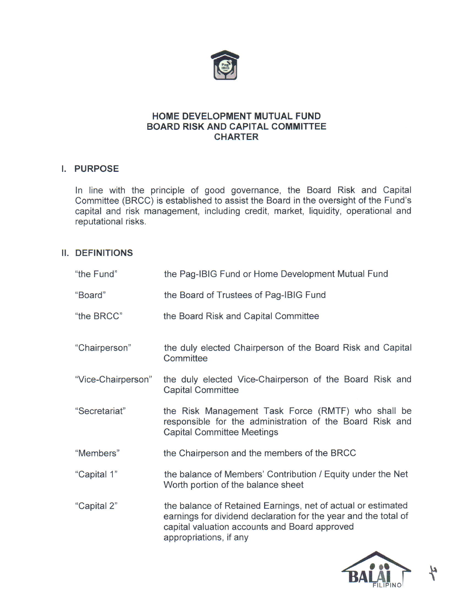

# HOME DEVELOPMENT MUTUAL FUND BOARD RISK AND CAPITAL COMMITTEE **CHARTER**

# I. PURPOSE

In line with the principle of good governance, the Board Risk and Capital Committee (BRCC) is established to assist the Board in the oversight of the Fund's capital and risk management, including credit, market, liquidity, operational and reputational risks.

# II. DEFINITIONS

| "the Fund"         | the Pag-IBIG Fund or Home Development Mutual Fund                                                                                                                                                          |
|--------------------|------------------------------------------------------------------------------------------------------------------------------------------------------------------------------------------------------------|
| "Board"            | the Board of Trustees of Pag-IBIG Fund                                                                                                                                                                     |
| "the BRCC"         | the Board Risk and Capital Committee                                                                                                                                                                       |
| "Chairperson"      | the duly elected Chairperson of the Board Risk and Capital<br>Committee                                                                                                                                    |
| "Vice-Chairperson" | the duly elected Vice-Chairperson of the Board Risk and<br><b>Capital Committee</b>                                                                                                                        |
| "Secretariat"      | the Risk Management Task Force (RMTF) who shall be<br>responsible for the administration of the Board Risk and<br><b>Capital Committee Meetings</b>                                                        |
| "Members"          | the Chairperson and the members of the BRCC                                                                                                                                                                |
| "Capital 1"        | the balance of Members' Contribution / Equity under the Net<br>Worth portion of the balance sheet                                                                                                          |
| "Capital 2"        | the balance of Retained Earnings, net of actual or estimated<br>earnings for dividend declaration for the year and the total of<br>capital valuation accounts and Board approved<br>appropriations, if any |